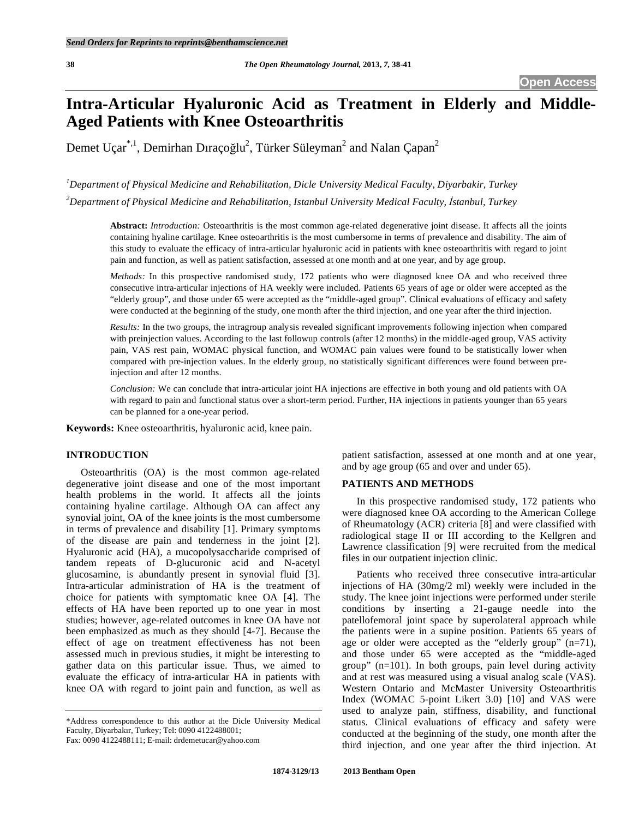# **Intra-Articular Hyaluronic Acid as Treatment in Elderly and Middle-Aged Patients with Knee Osteoarthritis**

Demet Uçar<sup>\*,1</sup>, Demirhan Dıraçoğlu<sup>2</sup>, Türker Süleyman<sup>2</sup> and Nalan Çapan<sup>2</sup>

*1 Department of Physical Medicine and Rehabilitation, Dicle University Medical Faculty, Diyarbakir, Turkey*  <sup>2</sup>Department of Physical Medicine and Rehabilitation, Istanbul University Medical Faculty, İstanbul, Turkey

**Abstract:** *Introduction:* Osteoarthritis is the most common age-related degenerative joint disease. It affects all the joints containing hyaline cartilage. Knee osteoarthritis is the most cumbersome in terms of prevalence and disability. The aim of this study to evaluate the efficacy of intra-articular hyaluronic acid in patients with knee osteoarthritis with regard to joint pain and function, as well as patient satisfaction, assessed at one month and at one year, and by age group.

*Methods:* In this prospective randomised study, 172 patients who were diagnosed knee OA and who received three consecutive intra-articular injections of HA weekly were included. Patients 65 years of age or older were accepted as the "elderly group", and those under 65 were accepted as the "middle-aged group". Clinical evaluations of efficacy and safety were conducted at the beginning of the study, one month after the third injection, and one year after the third injection.

*Results:* In the two groups, the intragroup analysis revealed significant improvements following injection when compared with preinjection values. According to the last followup controls (after 12 months) in the middle-aged group, VAS activity pain, VAS rest pain, WOMAC physical function, and WOMAC pain values were found to be statistically lower when compared with pre-injection values. In the elderly group, no statistically significant differences were found between preinjection and after 12 months.

*Conclusion:* We can conclude that intra-articular joint HA injections are effective in both young and old patients with OA with regard to pain and functional status over a short-term period. Further, HA injections in patients younger than 65 years can be planned for a one-year period.

**Keywords:** Knee osteoarthritis, hyaluronic acid, knee pain.

# **INTRODUCTION**

 Osteoarthritis (OA) is the most common age-related degenerative joint disease and one of the most important health problems in the world. It affects all the joints containing hyaline cartilage. Although OA can affect any synovial joint, OA of the knee joints is the most cumbersome in terms of prevalence and disability [1]. Primary symptoms of the disease are pain and tenderness in the joint [2]. Hyaluronic acid (HA), a mucopolysaccharide comprised of tandem repeats of D-glucuronic acid and N-acetyl glucosamine, is abundantly present in synovial fluid [3]. Intra-articular administration of HA is the treatment of choice for patients with symptomatic knee OA [4]. The effects of HA have been reported up to one year in most studies; however, age-related outcomes in knee OA have not been emphasized as much as they should [4-7]. Because the effect of age on treatment effectiveness has not been assessed much in previous studies, it might be interesting to gather data on this particular issue. Thus, we aimed to evaluate the efficacy of intra-articular HA in patients with knee OA with regard to joint pain and function, as well as

\*Address correspondence to this author at the Dicle University Medical Faculty, Diyarbakır, Turkey; Tel: 0090 4122488001;

Fax: 0090 4122488111; E-mail: drdemetucar@yahoo.com

patient satisfaction, assessed at one month and at one year, and by age group (65 and over and under 65).

## **PATIENTS AND METHODS**

 In this prospective randomised study, 172 patients who were diagnosed knee OA according to the American College of Rheumatology (ACR) criteria [8] and were classified with radiological stage II or III according to the Kellgren and Lawrence classification [9] were recruited from the medical files in our outpatient injection clinic.

 Patients who received three consecutive intra-articular injections of HA (30mg/2 ml) weekly were included in the study. The knee joint injections were performed under sterile conditions by inserting a 21-gauge needle into the patellofemoral joint space by superolateral approach while the patients were in a supine position. Patients 65 years of age or older were accepted as the "elderly group" (n=71), and those under 65 were accepted as the "middle-aged group" (n=101). In both groups, pain level during activity and at rest was measured using a visual analog scale (VAS). Western Ontario and McMaster University Osteoarthritis Index (WOMAC 5-point Likert 3.0) [10] and VAS were used to analyze pain, stiffness, disability, and functional status. Clinical evaluations of efficacy and safety were conducted at the beginning of the study, one month after the third injection, and one year after the third injection. At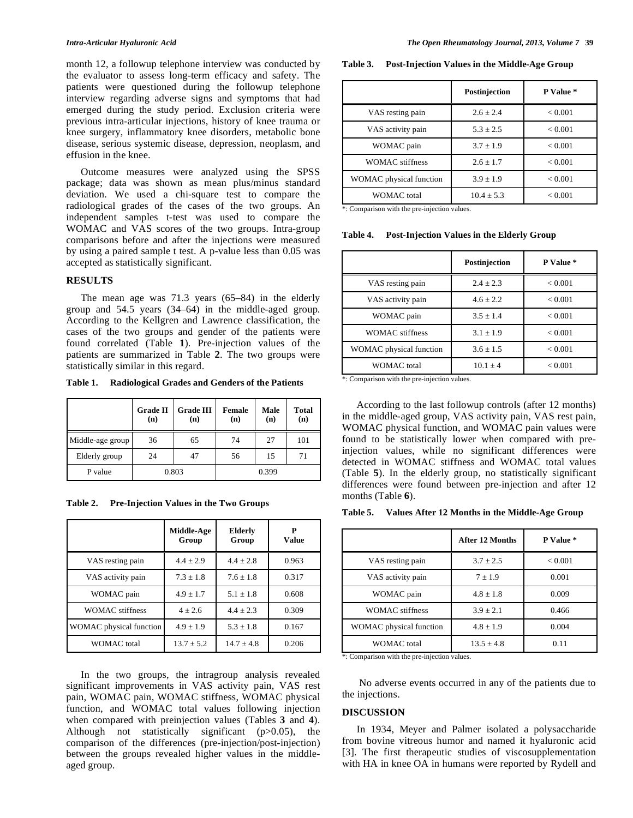month 12, a followup telephone interview was conducted by the evaluator to assess long-term efficacy and safety. The patients were questioned during the followup telephone interview regarding adverse signs and symptoms that had emerged during the study period. Exclusion criteria were previous intra-articular injections, history of knee trauma or knee surgery, inflammatory knee disorders, metabolic bone disease, serious systemic disease, depression, neoplasm, and effusion in the knee.

 Outcome measures were analyzed using the SPSS package; data was shown as mean plus/minus standard deviation. We used a chi-square test to compare the radiological grades of the cases of the two groups. An independent samples t-test was used to compare the WOMAC and VAS scores of the two groups. Intra-group comparisons before and after the injections were measured by using a paired sample t test. A p-value less than 0.05 was accepted as statistically significant.

# **RESULTS**

 The mean age was 71.3 years (65–84) in the elderly group and 54.5 years (34–64) in the middle-aged group. According to the Kellgren and Lawrence classification, the cases of the two groups and gender of the patients were found correlated (Table **1**). Pre-injection values of the patients are summarized in Table **2**. The two groups were statistically similar in this regard.

**Table 1. Radiological Grades and Genders of the Patients** 

|                  | <b>Grade II</b><br>(n) | <b>Grade III</b><br>(n) | <b>Female</b><br>(n) | Male<br>(n) | <b>Total</b><br>(n) |
|------------------|------------------------|-------------------------|----------------------|-------------|---------------------|
| Middle-age group | 36                     | 65                      | 74                   | 27          | 101                 |
| Elderly group    | 24                     | 47                      | 56                   | 15          | 71                  |
| P value          | 0.803                  |                         |                      | 0.399       |                     |

**Table 2. Pre-Injection Values in the Two Groups** 

|                         | Middle-Age<br>Group | <b>Elderly</b><br>Group | Р<br><b>Value</b> |
|-------------------------|---------------------|-------------------------|-------------------|
| VAS resting pain        | $4.4 + 2.9$         | $4.4 + 2.8$             | 0.963             |
| VAS activity pain       | $7.3 \pm 1.8$       | $7.6 \pm 1.8$           | 0.317             |
| WOMAC pain              | $4.9 \pm 1.7$       | $5.1 + 1.8$             | 0.608             |
| <b>WOMAC</b> stiffness  | $4 + 2.6$           | $4.4 + 2.3$             | 0.309             |
| WOMAC physical function | $4.9 + 1.9$         | $5.3 + 1.8$             | 0.167             |
| <b>WOMAC</b> total      | $13.7 + 5.2$        | $14.7 + 4.8$            | 0.206             |

 In the two groups, the intragroup analysis revealed significant improvements in VAS activity pain, VAS rest pain, WOMAC pain, WOMAC stiffness, WOMAC physical function, and WOMAC total values following injection when compared with preinjection values (Tables **3** and **4**). Although not statistically significant (p>0.05), the comparison of the differences (pre-injection/post-injection) between the groups revealed higher values in the middleaged group.

**Table 3. Post-Injection Values in the Middle-Age Group** 

|                         | Postinjection | P Value *      |
|-------------------------|---------------|----------------|
| VAS resting pain        | $2.6 + 2.4$   | ${}_{< 0.001}$ |
| VAS activity pain       | $5.3 + 2.5$   | < 0.001        |
| WOMAC pain              | $3.7 \pm 1.9$ | < 0.001        |
| <b>WOMAC</b> stiffness  | $2.6 + 1.7$   | ${}_{< 0.001}$ |
| WOMAC physical function | $3.9 \pm 1.9$ | < 0.001        |
| WOMAC total             | $10.4 + 5.3$  | < 0.001        |

\*: Comparison with the pre-injection values.

**Table 4. Post-Injection Values in the Elderly Group** 

|                         | Postinjection | P Value * |
|-------------------------|---------------|-----------|
| VAS resting pain        | $2.4 + 2.3$   | < 0.001   |
| VAS activity pain       | $4.6 + 2.2$   | < 0.001   |
| WOMAC pain              | $3.5 + 1.4$   | < 0.001   |
| <b>WOMAC</b> stiffness  | $3.1 \pm 1.9$ | < 0.001   |
| WOMAC physical function | $3.6 \pm 1.5$ | < 0.001   |
| WOMAC total             | $10.1 + 4$    | < 0.001   |

\*: Comparison with the pre-injection values.

 According to the last followup controls (after 12 months) in the middle-aged group, VAS activity pain, VAS rest pain, WOMAC physical function, and WOMAC pain values were found to be statistically lower when compared with preinjection values, while no significant differences were detected in WOMAC stiffness and WOMAC total values (Table **5**). In the elderly group, no statistically significant differences were found between pre-injection and after 12 months (Table **6**).

**Table 5. Values After 12 Months in the Middle-Age Group** 

|                         | After 12 Months | P Value * |
|-------------------------|-----------------|-----------|
| VAS resting pain        | $3.7 \pm 2.5$   | < 0.001   |
| VAS activity pain       | $7 + 1.9$       | 0.001     |
| WOMAC pain              | $4.8 + 1.8$     | 0.009     |
| <b>WOMAC</b> stiffness  | $3.9 + 2.1$     | 0.466     |
| WOMAC physical function | $4.8 + 1.9$     | 0.004     |
| <b>WOMAC</b> total      | $13.5 + 4.8$    | 0.11      |

\*: Comparison with the pre-injection values.

 No adverse events occurred in any of the patients due to the injections.

#### **DISCUSSION**

 In 1934, Meyer and Palmer isolated a polysaccharide from bovine vitreous humor and named it hyaluronic acid [3]. The first therapeutic studies of viscosupplementation with HA in knee OA in humans were reported by Rydell and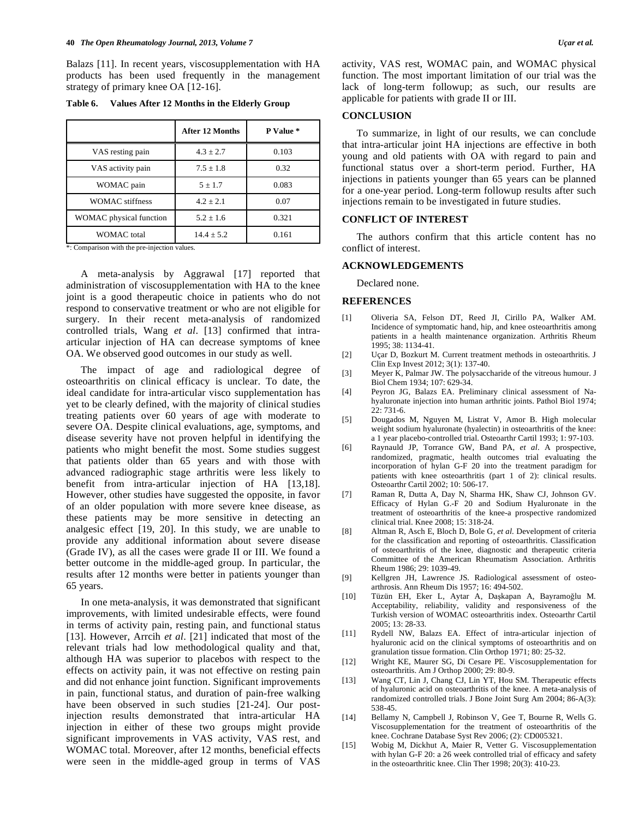Balazs [11]. In recent years, viscosupplementation with HA products has been used frequently in the management strategy of primary knee OA [12-16].

| Table 6. |  | Values After 12 Months in the Elderly Group |  |
|----------|--|---------------------------------------------|--|
|          |  |                                             |  |

|                         | After 12 Months | P Value * |
|-------------------------|-----------------|-----------|
| VAS resting pain        | $4.3 + 2.7$     | 0.103     |
| VAS activity pain       | $7.5 \pm 1.8$   | 0.32      |
| WOMAC pain              | $5 \pm 1.7$     | 0.083     |
| <b>WOMAC</b> stiffness  | $4.2 + 2.1$     | 0.07      |
| WOMAC physical function | $5.2 + 1.6$     | 0.321     |
| <b>WOMAC</b> total      | $14.4 + 5.2$    | 0.161     |

\*: Comparison with the pre-injection values.

 A meta-analysis by Aggrawal [17] reported that administration of viscosupplementation with HA to the knee joint is a good therapeutic choice in patients who do not respond to conservative treatment or who are not eligible for surgery. In their recent meta-analysis of randomized controlled trials, Wang *et al*. [13] confirmed that intraarticular injection of HA can decrease symptoms of knee OA. We observed good outcomes in our study as well.

 The impact of age and radiological degree of osteoarthritis on clinical efficacy is unclear. To date, the ideal candidate for intra-articular visco supplementation has yet to be clearly defined, with the majority of clinical studies treating patients over 60 years of age with moderate to severe OA. Despite clinical evaluations, age, symptoms, and disease severity have not proven helpful in identifying the patients who might benefit the most. Some studies suggest that patients older than 65 years and with those with advanced radiographic stage arthritis were less likely to benefit from intra-articular injection of HA [13,18]. However, other studies have suggested the opposite, in favor of an older population with more severe knee disease, as these patients may be more sensitive in detecting an analgesic effect [19, 20]. In this study, we are unable to provide any additional information about severe disease (Grade IV), as all the cases were grade II or III. We found a better outcome in the middle-aged group. In particular, the results after 12 months were better in patients younger than 65 years.

 In one meta-analysis, it was demonstrated that significant improvements, with limited undesirable effects, were found in terms of activity pain, resting pain, and functional status [13]. However, Arrcih *et al*. [21] indicated that most of the relevant trials had low methodological quality and that, although HA was superior to placebos with respect to the effects on activity pain, it was not effective on resting pain and did not enhance joint function. Significant improvements in pain, functional status, and duration of pain-free walking have been observed in such studies [21-24]. Our postinjection results demonstrated that intra-articular HA injection in either of these two groups might provide significant improvements in VAS activity, VAS rest, and WOMAC total. Moreover, after 12 months, beneficial effects were seen in the middle-aged group in terms of VAS activity, VAS rest, WOMAC pain, and WOMAC physical function. The most important limitation of our trial was the lack of long-term followup; as such, our results are applicable for patients with grade II or III.

#### **CONCLUSION**

 To summarize, in light of our results, we can conclude that intra-articular joint HA injections are effective in both young and old patients with OA with regard to pain and functional status over a short-term period. Further, HA injections in patients younger than 65 years can be planned for a one-year period. Long-term followup results after such injections remain to be investigated in future studies.

## **CONFLICT OF INTEREST**

 The authors confirm that this article content has no conflict of interest.

#### **ACKNOWLEDGEMENTS**

Declared none.

### **REFERENCES**

- [1] Oliveria SA, Felson DT, Reed JI, Cirillo PA, Walker AM. Incidence of symptomatic hand, hip, and knee osteoarthritis among patients in a health maintenance organization. Arthritis Rheum 1995; 38: 1134-41.
- [2] Uçar D, Bozkurt M. Current treatment methods in osteoarthritis. J Clin Exp Invest 2012; 3(1): 137-40.
- [3] Meyer K, Palmar JW. The polysaccharide of the vitreous humour. J Biol Chem 1934; 107: 629-34.
- [4] Peyron JG, Balazs EA. Preliminary clinical assessment of Nahyaluronate injection into human arthritic joints. Pathol Biol 1974; 22: 731-6.
- [5] Dougados M, Nguyen M, Listrat V, Amor B. High molecular weight sodium hyaluronate (hyalectin) in osteoarthritis of the knee: a 1 year placebo-controlled trial. Osteoarthr Cartil 1993; 1: 97-103.
- [6] Raynauld JP, Torrance GW, Band PA, *et al*. A prospective, randomized, pragmatic, health outcomes trial evaluating the incorporation of hylan G-F 20 into the treatment paradigm for patients with knee osteoarthritis (part 1 of 2): clinical results. Osteoarthr Cartil 2002; 10: 506-17.
- [7] Raman R, Dutta A, Day N, Sharma HK, Shaw CJ, Johnson GV. Efficacy of Hylan G.-F 20 and Sodium Hyaluronate in the treatment of osteoarthritis of the knee-a prospective randomized clinical trial. Knee 2008; 15: 318-24.
- [8] Altman R, Asch E, Bloch D, Bole G, *et al*. Development of criteria for the classification and reporting of osteoarthritis. Classification of osteoarthritis of the knee, diagnostic and therapeutic criteria Committee of the American Rheumatism Association. Arthritis Rheum 1986; 29: 1039-49.
- [9] Kellgren JH, Lawrence JS. Radiological assessment of osteoarthrosis. Ann Rheum Dis 1957; 16: 494-502.
- [10] Tüzün EH, Eker L, Aytar A, Daşkapan A, Bayramoğlu M. Acceptability, reliability, validity and responsiveness of the Turkish version of WOMAC osteoarthritis index. Osteoarthr Cartil 2005; 13: 28-33.
- [11] Rydell NW, Balazs EA. Effect of intra-articular injection of hyaluronic acid on the clinical symptoms of osteoarthritis and on granulation tissue formation. Clin Orthop 1971; 80: 25-32.
- [12] Wright KE, Maurer SG, Di Cesare PE. Viscosupplementation for osteoarthritis. Am J Orthop 2000; 29: 80-9.
- [13] Wang CT, Lin J, Chang CJ, Lin YT, Hou SM. Therapeutic effects of hyaluronic acid on osteoarthritis of the knee. A meta-analysis of randomized controlled trials. J Bone Joint Surg Am 2004; 86-A(3): 538-45.
- [14] Bellamy N, Campbell J, Robinson V, Gee T, Bourne R, Wells G. Viscosupplementation for the treatment of osteoarthritis of the knee. Cochrane Database Syst Rev 2006; (2): CD005321.
- [15] Wobig M, Dickhut A, Maier R, Vetter G. Viscosupplementation with hylan G-F 20: a 26 week controlled trial of efficacy and safety in the osteoarthritic knee. Clin Ther 1998; 20(3): 410-23.